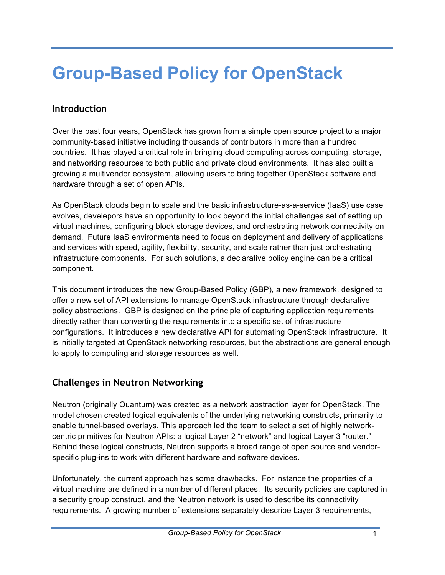# **Group-Based Policy for OpenStack**

# **Introduction**

Over the past four years, OpenStack has grown from a simple open source project to a major community-based initiative including thousands of contributors in more than a hundred countries. It has played a critical role in bringing cloud computing across computing, storage, and networking resources to both public and private cloud environments. It has also built a growing a multivendor ecosystem, allowing users to bring together OpenStack software and hardware through a set of open APIs.

As OpenStack clouds begin to scale and the basic infrastructure-as-a-service (IaaS) use case evolves, develepors have an opportunity to look beyond the initial challenges set of setting up virtual machines, configuring block storage devices, and orchestrating network connectivity on demand. Future IaaS environments need to focus on deployment and delivery of applications and services with speed, agility, flexibility, security, and scale rather than just orchestrating infrastructure components. For such solutions, a declarative policy engine can be a critical component.

This document introduces the new Group-Based Policy (GBP), a new framework, designed to offer a new set of API extensions to manage OpenStack infrastructure through declarative policy abstractions. GBP is designed on the principle of capturing application requirements directly rather than converting the requirements into a specific set of infrastructure configurations. It introduces a new declarative API for automating OpenStack infrastructure. It is initially targeted at OpenStack networking resources, but the abstractions are general enough to apply to computing and storage resources as well.

# **Challenges in Neutron Networking**

Neutron (originally Quantum) was created as a network abstraction layer for OpenStack. The model chosen created logical equivalents of the underlying networking constructs, primarily to enable tunnel-based overlays. This approach led the team to select a set of highly networkcentric primitives for Neutron APIs: a logical Layer 2 "network" and logical Layer 3 "router." Behind these logical constructs, Neutron supports a broad range of open source and vendorspecific plug-ins to work with different hardware and software devices.

Unfortunately, the current approach has some drawbacks. For instance the properties of a virtual machine are defined in a number of different places. Its security policies are captured in a security group construct, and the Neutron network is used to describe its connectivity requirements. A growing number of extensions separately describe Layer 3 requirements,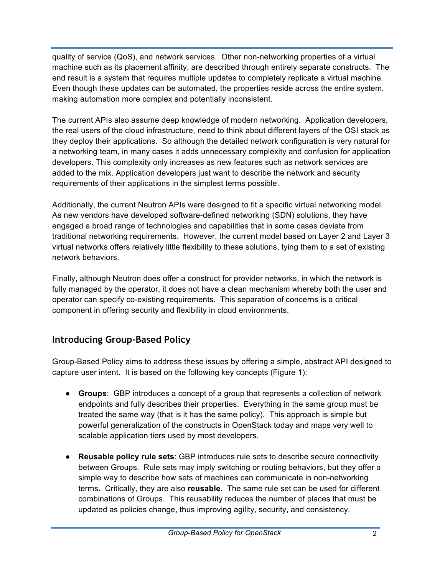quality of service (QoS), and network services. Other non-networking properties of a virtual machine such as its placement affinity, are described through entirely separate constructs. The end result is a system that requires multiple updates to completely replicate a virtual machine. Even though these updates can be automated, the properties reside across the entire system, making automation more complex and potentially inconsistent.

The current APIs also assume deep knowledge of modern networking. Application developers, the real users of the cloud infrastructure, need to think about different layers of the OSI stack as they deploy their applications. So although the detailed network configuration is very natural for a networking team, in many cases it adds unnecessary complexity and confusion for application developers. This complexity only increases as new features such as network services are added to the mix. Application developers just want to describe the network and security requirements of their applications in the simplest terms possible.

Additionally, the current Neutron APIs were designed to fit a specific virtual networking model. As new vendors have developed software-defined networking (SDN) solutions, they have engaged a broad range of technologies and capabilities that in some cases deviate from traditional networking requirements. However, the current model based on Layer 2 and Layer 3 virtual networks offers relatively little flexibility to these solutions, tying them to a set of existing network behaviors.

Finally, although Neutron does offer a construct for provider networks, in which the network is fully managed by the operator, it does not have a clean mechanism whereby both the user and operator can specify co-existing requirements. This separation of concerns is a critical component in offering security and flexibility in cloud environments.

# **Introducing Group-Based Policy**

Group-Based Policy aims to address these issues by offering a simple, abstract API designed to capture user intent. It is based on the following key concepts (Figure 1):

- **Groups**: GBP introduces a concept of a group that represents a collection of network endpoints and fully describes their properties. Everything in the same group must be treated the same way (that is it has the same policy). This approach is simple but powerful generalization of the constructs in OpenStack today and maps very well to scalable application tiers used by most developers.
- **Reusable policy rule sets**: GBP introduces rule sets to describe secure connectivity between Groups. Rule sets may imply switching or routing behaviors, but they offer a simple way to describe how sets of machines can communicate in non-networking terms. Critically, they are also **reusable**. The same rule set can be used for different combinations of Groups. This reusability reduces the number of places that must be updated as policies change, thus improving agility, security, and consistency.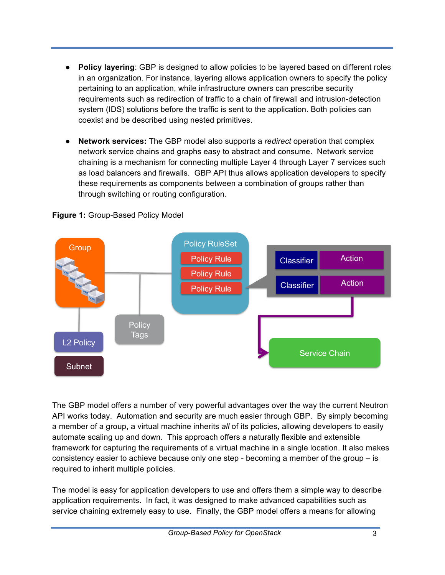- **Policy layering**: GBP is designed to allow policies to be layered based on different roles in an organization. For instance, layering allows application owners to specify the policy pertaining to an application, while infrastructure owners can prescribe security requirements such as redirection of traffic to a chain of firewall and intrusion-detection system (IDS) solutions before the traffic is sent to the application. Both policies can coexist and be described using nested primitives.
- **Network services:** The GBP model also supports a *redirect* operation that complex network service chains and graphs easy to abstract and consume. Network service chaining is a mechanism for connecting multiple Layer 4 through Layer 7 services such as load balancers and firewalls. GBP API thus allows application developers to specify these requirements as components between a combination of groups rather than through switching or routing configuration.



**Figure 1:** Group-Based Policy Model

The GBP model offers a number of very powerful advantages over the way the current Neutron API works today. Automation and security are much easier through GBP. By simply becoming a member of a group, a virtual machine inherits *all* of its policies, allowing developers to easily automate scaling up and down. This approach offers a naturally flexible and extensible framework for capturing the requirements of a virtual machine in a single location. It also makes consistency easier to achieve because only one step - becoming a member of the group – is required to inherit multiple policies.

The model is easy for application developers to use and offers them a simple way to describe application requirements. In fact, it was designed to make advanced capabilities such as service chaining extremely easy to use. Finally, the GBP model offers a means for allowing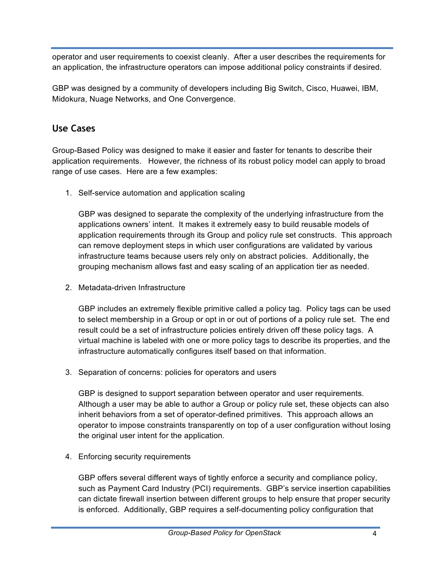operator and user requirements to coexist cleanly. After a user describes the requirements for an application, the infrastructure operators can impose additional policy constraints if desired.

GBP was designed by a community of developers including Big Switch, Cisco, Huawei, IBM, Midokura, Nuage Networks, and One Convergence.

# **Use Cases**

Group-Based Policy was designed to make it easier and faster for tenants to describe their application requirements. However, the richness of its robust policy model can apply to broad range of use cases. Here are a few examples:

1. Self-service automation and application scaling

GBP was designed to separate the complexity of the underlying infrastructure from the applications owners' intent. It makes it extremely easy to build reusable models of application requirements through its Group and policy rule set constructs. This approach can remove deployment steps in which user configurations are validated by various infrastructure teams because users rely only on abstract policies. Additionally, the grouping mechanism allows fast and easy scaling of an application tier as needed.

2. Metadata-driven Infrastructure

GBP includes an extremely flexible primitive called a policy tag. Policy tags can be used to select membership in a Group or opt in or out of portions of a policy rule set. The end result could be a set of infrastructure policies entirely driven off these policy tags. A virtual machine is labeled with one or more policy tags to describe its properties, and the infrastructure automatically configures itself based on that information.

3. Separation of concerns: policies for operators and users

GBP is designed to support separation between operator and user requirements. Although a user may be able to author a Group or policy rule set, these objects can also inherit behaviors from a set of operator-defined primitives. This approach allows an operator to impose constraints transparently on top of a user configuration without losing the original user intent for the application.

4. Enforcing security requirements

GBP offers several different ways of tightly enforce a security and compliance policy, such as Payment Card Industry (PCI) requirements. GBP's service insertion capabilities can dictate firewall insertion between different groups to help ensure that proper security is enforced. Additionally, GBP requires a self-documenting policy configuration that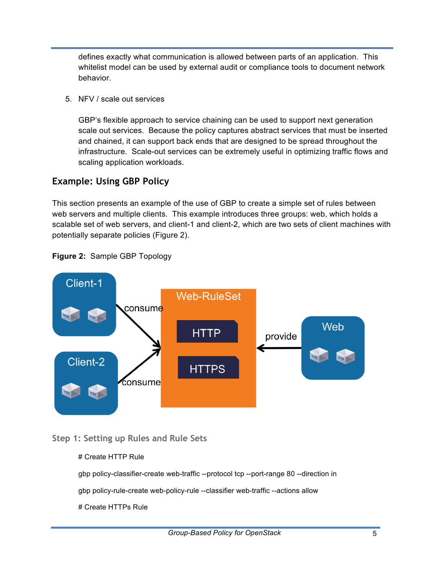defines exactly what communication is allowed between parts of an application. This whitelist model can be used by external audit or compliance tools to document network behavior.

5. NFV / scale out services

GBP's flexible approach to service chaining can be used to support next generation scale out services. Because the policy captures abstract services that must be inserted and chained, it can support back ends that are designed to be spread throughout the infrastructure. Scale-out services can be extremely useful in optimizing traffic flows and scaling application workloads.

# **Example: Using GBP Policy**

This section presents an example of the use of GBP to create a simple set of rules between web servers and multiple clients. This example introduces three groups: web, which holds a scalable set of web servers, and client-1 and client-2, which are two sets of client machines with potentially separate policies (Figure 2).



## **Figure 2:** Sample GBP Topology

## **Step 1: Setting up Rules and Rule Sets**

#### # Create HTTP Rule

gbp policy-classifier-create web-traffic --protocol tcp --port-range 80 --direction in

gbp policy-rule-create web-policy-rule --classifier web-traffic --actions allow

#### # Create HTTPs Rule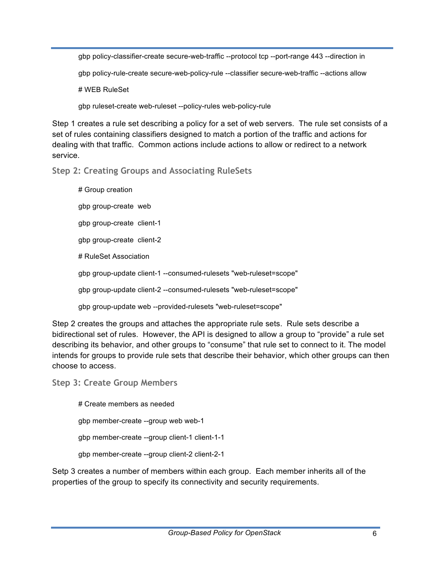gbp policy-classifier-create secure-web-traffic --protocol tcp --port-range 443 --direction in

gbp policy-rule-create secure-web-policy-rule --classifier secure-web-traffic --actions allow

# WEB RuleSet

gbp ruleset-create web-ruleset --policy-rules web-policy-rule

Step 1 creates a rule set describing a policy for a set of web servers. The rule set consists of a set of rules containing classifiers designed to match a portion of the traffic and actions for dealing with that traffic. Common actions include actions to allow or redirect to a network service.

**Step 2: Creating Groups and Associating RuleSets**

# Group creation gbp group-create web gbp group-create client-1 gbp group-create client-2 # RuleSet Association gbp group-update client-1 --consumed-rulesets "web-ruleset=scope" gbp group-update client-2 --consumed-rulesets "web-ruleset=scope" gbp group-update web --provided-rulesets "web-ruleset=scope"

Step 2 creates the groups and attaches the appropriate rule sets. Rule sets describe a bidirectional set of rules. However, the API is designed to allow a group to "provide" a rule set describing its behavior, and other groups to "consume" that rule set to connect to it. The model intends for groups to provide rule sets that describe their behavior, which other groups can then choose to access.

**Step 3: Create Group Members**

# Create members as needed gbp member-create --group web web-1 gbp member-create --group client-1 client-1-1 gbp member-create --group client-2 client-2-1

Setp 3 creates a number of members within each group. Each member inherits all of the properties of the group to specify its connectivity and security requirements.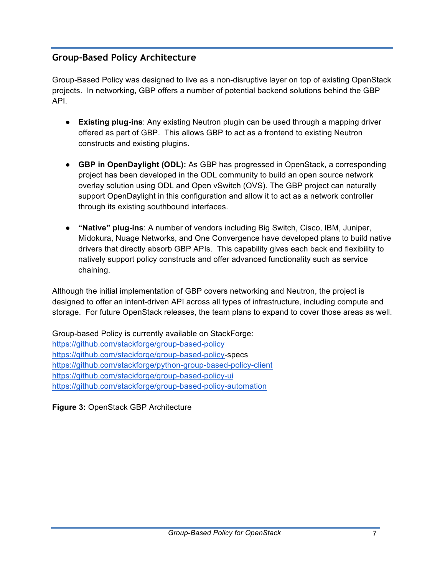# **Group-Based Policy Architecture**

Group-Based Policy was designed to live as a non-disruptive layer on top of existing OpenStack projects. In networking, GBP offers a number of potential backend solutions behind the GBP API.

- **Existing plug-ins**: Any existing Neutron plugin can be used through a mapping driver offered as part of GBP. This allows GBP to act as a frontend to existing Neutron constructs and existing plugins.
- **GBP in OpenDaylight (ODL):** As GBP has progressed in OpenStack, a corresponding project has been developed in the ODL community to build an open source network overlay solution using ODL and Open vSwitch (OVS). The GBP project can naturally support OpenDaylight in this configuration and allow it to act as a network controller through its existing southbound interfaces.
- **"Native" plug-ins**: A number of vendors including Big Switch, Cisco, IBM, Juniper, Midokura, Nuage Networks, and One Convergence have developed plans to build native drivers that directly absorb GBP APIs. This capability gives each back end flexibility to natively support policy constructs and offer advanced functionality such as service chaining.

Although the initial implementation of GBP covers networking and Neutron, the project is designed to offer an intent-driven API across all types of infrastructure, including compute and storage. For future OpenStack releases, the team plans to expand to cover those areas as well.

Group-based Policy is currently available on StackForge: https://github.com/stackforge/group-based-policy https://github.com/stackforge/group-based-policy-specs https://github.com/stackforge/python-group-based-policy-client https://github.com/stackforge/group-based-policy-ui https://github.com/stackforge/group-based-policy-automation

**Figure 3:** OpenStack GBP Architecture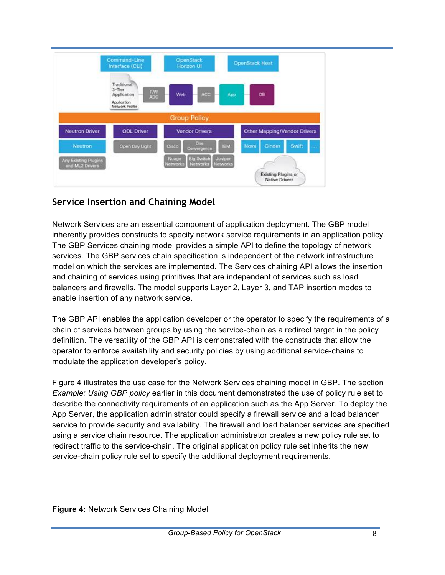

# **Service Insertion and Chaining Model**

Network Services are an essential component of application deployment. The GBP model inherently provides constructs to specify network service requirements in an application policy. The GBP Services chaining model provides a simple API to define the topology of network services. The GBP services chain specification is independent of the network infrastructure model on which the services are implemented. The Services chaining API allows the insertion and chaining of services using primitives that are independent of services such as load balancers and firewalls. The model supports Layer 2, Layer 3, and TAP insertion modes to enable insertion of any network service.

The GBP API enables the application developer or the operator to specify the requirements of a chain of services between groups by using the service-chain as a redirect target in the policy definition. The versatility of the GBP API is demonstrated with the constructs that allow the operator to enforce availability and security policies by using additional service-chains to modulate the application developer's policy.

Figure 4 illustrates the use case for the Network Services chaining model in GBP. The section *Example: Using GBP policy* earlier in this document demonstrated the use of policy rule set to describe the connectivity requirements of an application such as the App Server. To deploy the App Server, the application administrator could specify a firewall service and a load balancer service to provide security and availability. The firewall and load balancer services are specified using a service chain resource. The application administrator creates a new policy rule set to redirect traffic to the service-chain. The original application policy rule set inherits the new service-chain policy rule set to specify the additional deployment requirements.

**Figure 4:** Network Services Chaining Model